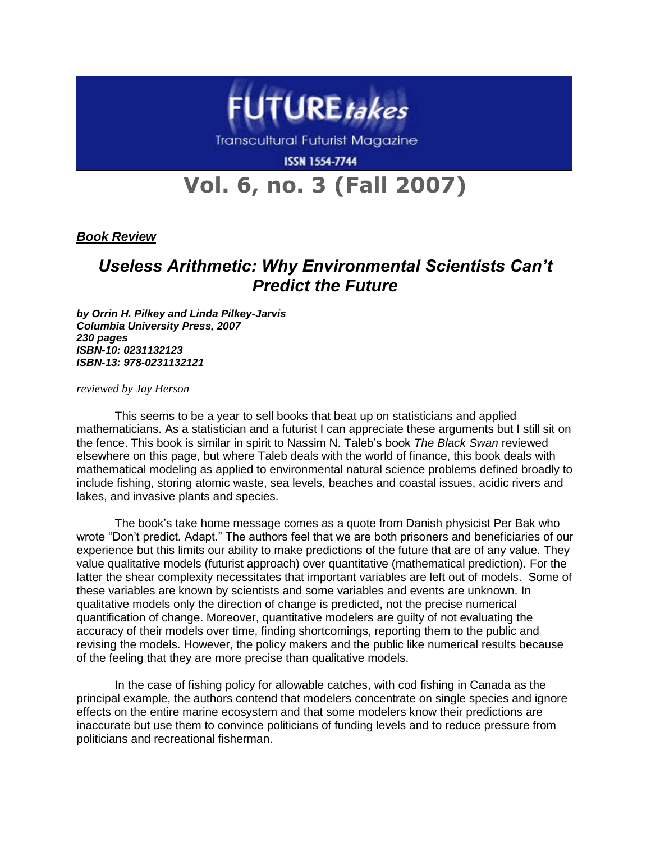

Transcultural Futurist Magazine

**ISSN 1554-7744** 

## **Vol. 6, no. 3 (Fall 2007)**

*Book Review*

## *Useless Arithmetic: Why Environmental Scientists Can't Predict the Future*

*by Orrin H. Pilkey and Linda Pilkey-Jarvis Columbia University Press, 2007 230 pages ISBN-10: 0231132123 ISBN-13: 978-0231132121*

*reviewed by Jay Herson*

This seems to be a year to sell books that beat up on statisticians and applied mathematicians. As a statistician and a futurist I can appreciate these arguments but I still sit on the fence. This book is similar in spirit to Nassim N. Taleb's book *The Black Swan* reviewed elsewhere on this page, but where Taleb deals with the world of finance, this book deals with mathematical modeling as applied to environmental natural science problems defined broadly to include fishing, storing atomic waste, sea levels, beaches and coastal issues, acidic rivers and lakes, and invasive plants and species.

The book's take home message comes as a quote from Danish physicist Per Bak who wrote "Don't predict. Adapt." The authors feel that we are both prisoners and beneficiaries of our experience but this limits our ability to make predictions of the future that are of any value. They value qualitative models (futurist approach) over quantitative (mathematical prediction). For the latter the shear complexity necessitates that important variables are left out of models. Some of these variables are known by scientists and some variables and events are unknown. In qualitative models only the direction of change is predicted, not the precise numerical quantification of change. Moreover, quantitative modelers are guilty of not evaluating the accuracy of their models over time, finding shortcomings, reporting them to the public and revising the models. However, the policy makers and the public like numerical results because of the feeling that they are more precise than qualitative models.

In the case of fishing policy for allowable catches, with cod fishing in Canada as the principal example, the authors contend that modelers concentrate on single species and ignore effects on the entire marine ecosystem and that some modelers know their predictions are inaccurate but use them to convince politicians of funding levels and to reduce pressure from politicians and recreational fisherman.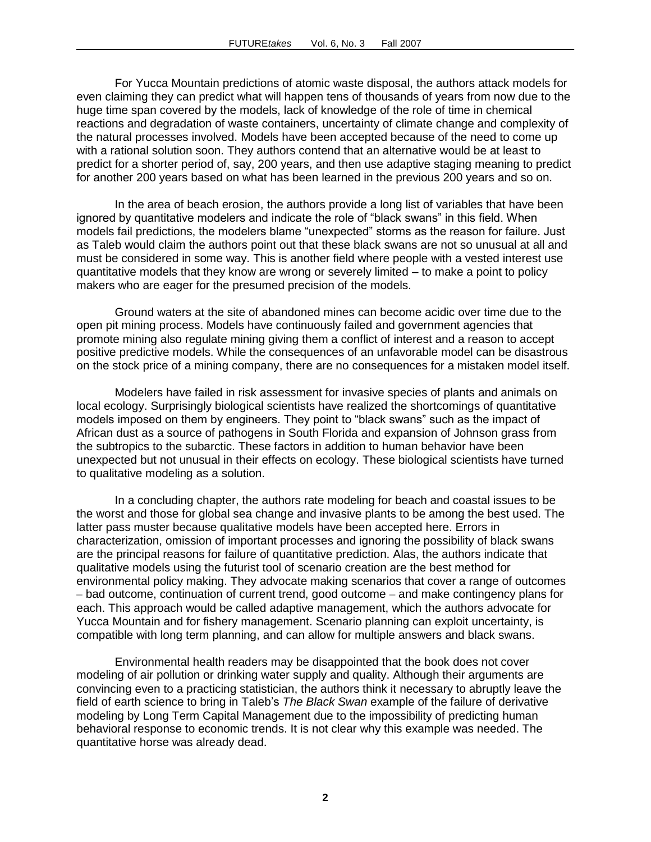For Yucca Mountain predictions of atomic waste disposal, the authors attack models for even claiming they can predict what will happen tens of thousands of years from now due to the huge time span covered by the models, lack of knowledge of the role of time in chemical reactions and degradation of waste containers, uncertainty of climate change and complexity of the natural processes involved. Models have been accepted because of the need to come up with a rational solution soon. They authors contend that an alternative would be at least to predict for a shorter period of, say, 200 years, and then use adaptive staging meaning to predict for another 200 years based on what has been learned in the previous 200 years and so on.

In the area of beach erosion, the authors provide a long list of variables that have been ignored by quantitative modelers and indicate the role of "black swans" in this field. When models fail predictions, the modelers blame "unexpected" storms as the reason for failure. Just as Taleb would claim the authors point out that these black swans are not so unusual at all and must be considered in some way. This is another field where people with a vested interest use quantitative models that they know are wrong or severely limited – to make a point to policy makers who are eager for the presumed precision of the models.

Ground waters at the site of abandoned mines can become acidic over time due to the open pit mining process. Models have continuously failed and government agencies that promote mining also regulate mining giving them a conflict of interest and a reason to accept positive predictive models. While the consequences of an unfavorable model can be disastrous on the stock price of a mining company, there are no consequences for a mistaken model itself.

Modelers have failed in risk assessment for invasive species of plants and animals on local ecology. Surprisingly biological scientists have realized the shortcomings of quantitative models imposed on them by engineers. They point to "black swans" such as the impact of African dust as a source of pathogens in South Florida and expansion of Johnson grass from the subtropics to the subarctic. These factors in addition to human behavior have been unexpected but not unusual in their effects on ecology. These biological scientists have turned to qualitative modeling as a solution.

In a concluding chapter, the authors rate modeling for beach and coastal issues to be the worst and those for global sea change and invasive plants to be among the best used. The latter pass muster because qualitative models have been accepted here. Errors in characterization, omission of important processes and ignoring the possibility of black swans are the principal reasons for failure of quantitative prediction. Alas, the authors indicate that qualitative models using the futurist tool of scenario creation are the best method for environmental policy making. They advocate making scenarios that cover a range of outcomes – bad outcome, continuation of current trend, good outcome – and make contingency plans for each. This approach would be called adaptive management, which the authors advocate for Yucca Mountain and for fishery management. Scenario planning can exploit uncertainty, is compatible with long term planning, and can allow for multiple answers and black swans.

Environmental health readers may be disappointed that the book does not cover modeling of air pollution or drinking water supply and quality. Although their arguments are convincing even to a practicing statistician, the authors think it necessary to abruptly leave the field of earth science to bring in Taleb's *The Black Swan* example of the failure of derivative modeling by Long Term Capital Management due to the impossibility of predicting human behavioral response to economic trends. It is not clear why this example was needed. The quantitative horse was already dead.